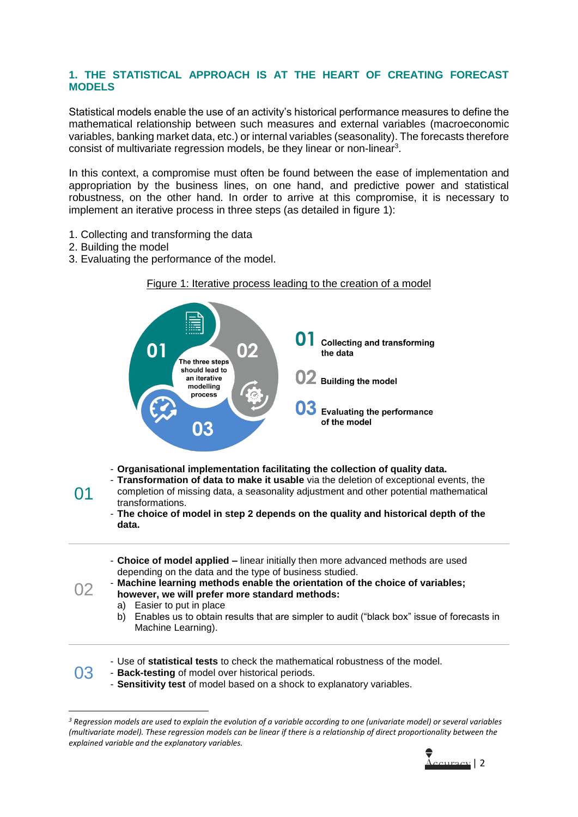## **1. THE STATISTICAL APPROACH IS AT THE HEART OF CREATING FORECAST MODELS**

Statistical models enable the use of an activity's historical performance measures to define the mathematical relationship between such measures and external variables (macroeconomic variables, banking market data, etc.) or internal variables (seasonality). The forecasts therefore consist of multivariate regression models, be they linear or non-linear<sup>3</sup>.

In this context, a compromise must often be found between the ease of implementation and appropriation by the business lines, on one hand, and predictive power and statistical robustness, on the other hand. In order to arrive at this compromise, it is necessary to implement an iterative process in three steps (as detailed in figure 1):

- 1. Collecting and transforming the data
- 2. Building the model
- 3. Evaluating the performance of the model.



*<sup>3</sup> Regression models are used to explain the evolution of a variable according to one (univariate model) or several variables (multivariate model). These regression models can be linear if there is a relationship of direct proportionality between the explained variable and the explanatory variables.*

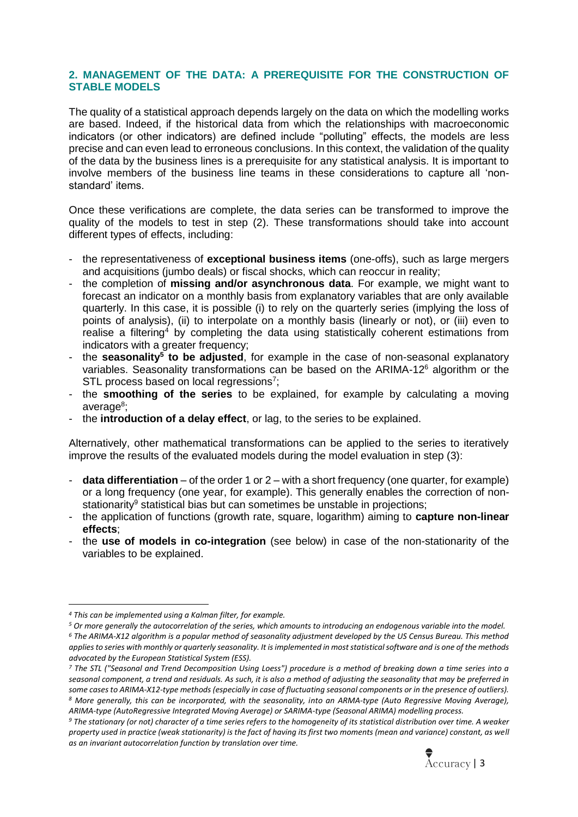## **2. MANAGEMENT OF THE DATA: A PREREQUISITE FOR THE CONSTRUCTION OF STABLE MODELS**

The quality of a statistical approach depends largely on the data on which the modelling works are based. Indeed, if the historical data from which the relationships with macroeconomic indicators (or other indicators) are defined include "polluting" effects, the models are less precise and can even lead to erroneous conclusions. In this context, the validation of the quality of the data by the business lines is a prerequisite for any statistical analysis. It is important to involve members of the business line teams in these considerations to capture all 'nonstandard' items.

Once these verifications are complete, the data series can be transformed to improve the quality of the models to test in step (2). These transformations should take into account different types of effects, including:

- the representativeness of **exceptional business items** (one-offs), such as large mergers and acquisitions (jumbo deals) or fiscal shocks, which can reoccur in reality;
- the completion of **missing and/or asynchronous data**. For example, we might want to forecast an indicator on a monthly basis from explanatory variables that are only available quarterly. In this case, it is possible (i) to rely on the quarterly series (implying the loss of points of analysis), (ii) to interpolate on a monthly basis (linearly or not), or (iii) even to realise a filtering<sup>4</sup> by completing the data using statistically coherent estimations from indicators with a greater frequency;
- the **seasonality<sup>5</sup> to be adjusted**, for example in the case of non-seasonal explanatory variables. Seasonality transformations can be based on the ARIMA-12<sup>6</sup> algorithm or the STL process based on local regressions<sup>7</sup>;
- the **smoothing of the series** to be explained, for example by calculating a moving average<sup>8</sup>;
- the **introduction of a delay effect**, or lag, to the series to be explained.

Alternatively, other mathematical transformations can be applied to the series to iteratively improve the results of the evaluated models during the model evaluation in step (3):

- **data differentiation** of the order 1 or 2 with a short frequency (one quarter, for example) or a long frequency (one year, for example). This generally enables the correction of nonstationarity<sup>9</sup> statistical bias but can sometimes be unstable in projections;
- the application of functions (growth rate, square, logarithm) aiming to **capture non-linear effects**;
- the **use of models in co-integration** (see below) in case of the non-stationarity of the variables to be explained.

*<sup>9</sup> The stationary (or not) character of a time series refers to the homogeneity of its statistical distribution over time. A weaker property used in practice (weak stationarity) is the fact of having its first two moments (mean and variance) constant, as well as an invariant autocorrelation function by translation over time.*



*<sup>4</sup> This can be implemented using a Kalman filter, for example.*

*<sup>5</sup> Or more generally the autocorrelation of the series, which amounts to introducing an endogenous variable into the model.*

*<sup>6</sup> The ARIMA-X12 algorithm is a popular method of seasonality adjustment developed by the US Census Bureau. This method applies to series with monthly or quarterly seasonality. It is implemented in most statistical software and is one of the methods advocated by the European Statistical System (ESS).*

*<sup>7</sup> The STL ("Seasonal and Trend Decomposition Using Loess") procedure is a method of breaking down a time series into a seasonal component, a trend and residuals. As such, it is also a method of adjusting the seasonality that may be preferred in some cases to ARIMA-X12-type methods (especially in case of fluctuating seasonal components or in the presence of outliers). <sup>8</sup> More generally, this can be incorporated, with the seasonality, into an ARMA-type (Auto Regressive Moving Average), ARIMA-type (AutoRegressive Integrated Moving Average) or SARIMA-type (Seasonal ARIMA) modelling process.*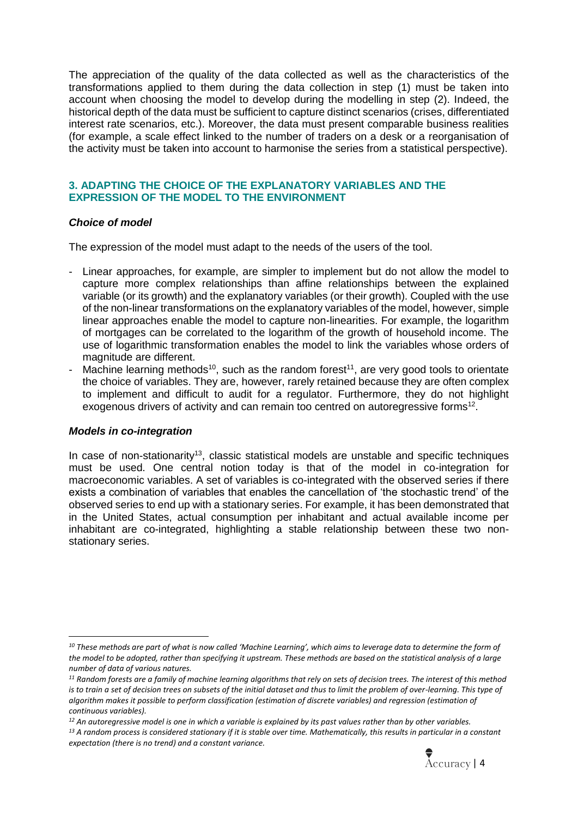The appreciation of the quality of the data collected as well as the characteristics of the transformations applied to them during the data collection in step (1) must be taken into account when choosing the model to develop during the modelling in step (2). Indeed, the historical depth of the data must be sufficient to capture distinct scenarios (crises, differentiated interest rate scenarios, etc.). Moreover, the data must present comparable business realities (for example, a scale effect linked to the number of traders on a desk or a reorganisation of the activity must be taken into account to harmonise the series from a statistical perspective).

## **3. ADAPTING THE CHOICE OF THE EXPLANATORY VARIABLES AND THE EXPRESSION OF THE MODEL TO THE ENVIRONMENT**

## *Choice of model*

The expression of the model must adapt to the needs of the users of the tool.

- Linear approaches, for example, are simpler to implement but do not allow the model to capture more complex relationships than affine relationships between the explained variable (or its growth) and the explanatory variables (or their growth). Coupled with the use of the non-linear transformations on the explanatory variables of the model, however, simple linear approaches enable the model to capture non-linearities. For example, the logarithm of mortgages can be correlated to the logarithm of the growth of household income. The use of logarithmic transformation enables the model to link the variables whose orders of magnitude are different.
- Machine learning methods<sup>10</sup>, such as the random forest<sup>11</sup>, are very good tools to orientate the choice of variables. They are, however, rarely retained because they are often complex to implement and difficult to audit for a regulator. Furthermore, they do not highlight exogenous drivers of activity and can remain too centred on autoregressive forms $^{12}$ .

## *Models in co-integration*

In case of non-stationarity<sup>13</sup>, classic statistical models are unstable and specific techniques must be used. One central notion today is that of the model in co-integration for macroeconomic variables. A set of variables is co-integrated with the observed series if there exists a combination of variables that enables the cancellation of 'the stochastic trend' of the observed series to end up with a stationary series. For example, it has been demonstrated that in the United States, actual consumption per inhabitant and actual available income per inhabitant are co-integrated, highlighting a stable relationship between these two nonstationary series.

*<sup>13</sup> A random process is considered stationary if it is stable over time. Mathematically, this results in particular in a constant expectation (there is no trend) and a constant variance.*



*<sup>10</sup> These methods are part of what is now called 'Machine Learning', which aims to leverage data to determine the form of the model to be adopted, rather than specifying it upstream. These methods are based on the statistical analysis of a large number of data of various natures.*

*<sup>11</sup> Random forests are a family of machine learning algorithms that rely on sets of decision trees. The interest of this method*  is to train a set of decision trees on subsets of the initial dataset and thus to limit the problem of over-learning. This type of *algorithm makes it possible to perform classification (estimation of discrete variables) and regression (estimation of continuous variables).*

*<sup>12</sup> An autoregressive model is one in which a variable is explained by its past values rather than by other variables.*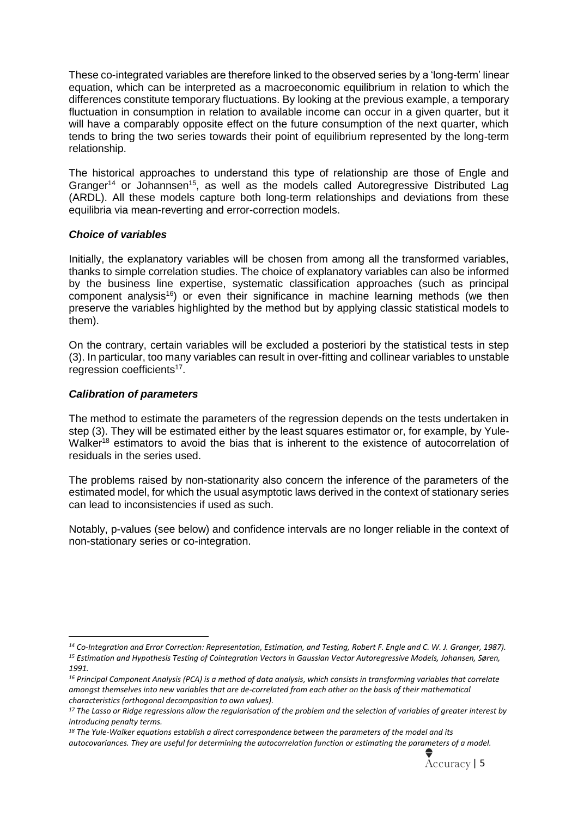These co-integrated variables are therefore linked to the observed series by a 'long-term' linear equation, which can be interpreted as a macroeconomic equilibrium in relation to which the differences constitute temporary fluctuations. By looking at the previous example, a temporary fluctuation in consumption in relation to available income can occur in a given quarter, but it will have a comparably opposite effect on the future consumption of the next quarter, which tends to bring the two series towards their point of equilibrium represented by the long-term relationship.

The historical approaches to understand this type of relationship are those of Engle and Granger<sup>14</sup> or Johannsen<sup>15</sup>, as well as the models called Autoregressive Distributed Lag (ARDL). All these models capture both long-term relationships and deviations from these equilibria via mean-reverting and error-correction models.

## *Choice of variables*

Initially, the explanatory variables will be chosen from among all the transformed variables, thanks to simple correlation studies. The choice of explanatory variables can also be informed by the business line expertise, systematic classification approaches (such as principal component analysis<sup>16</sup>) or even their significance in machine learning methods (we then preserve the variables highlighted by the method but by applying classic statistical models to them).

On the contrary, certain variables will be excluded a posteriori by the statistical tests in step (3). In particular, too many variables can result in over-fitting and collinear variables to unstable regression coefficients<sup>17</sup>.

## *Calibration of parameters*

The method to estimate the parameters of the regression depends on the tests undertaken in step (3). They will be estimated either by the least squares estimator or, for example, by Yule-Walker<sup>18</sup> estimators to avoid the bias that is inherent to the existence of autocorrelation of residuals in the series used.

The problems raised by non-stationarity also concern the inference of the parameters of the estimated model, for which the usual asymptotic laws derived in the context of stationary series can lead to inconsistencies if used as such.

Notably, p-values (see below) and confidence intervals are no longer reliable in the context of non-stationary series or co-integration.

*<sup>14</sup> Co-Integration and Error Correction: Representation, Estimation, and Testing, Robert F. Engle and C. W. J. Granger, 1987). <sup>15</sup> Estimation and Hypothesis Testing of Cointegration Vectors in Gaussian Vector Autoregressive Models, Johansen, Søren, 1991.*

*<sup>16</sup> Principal Component Analysis (PCA) is a method of data analysis, which consists in transforming variables that correlate amongst themselves into new variables that are de-correlated from each other on the basis of their mathematical characteristics (orthogonal decomposition to own values).*

*<sup>17</sup> The Lasso or Ridge regressions allow the regularisation of the problem and the selection of variables of greater interest by introducing penalty terms.*

*<sup>18</sup> The Yule-Walker equations establish a direct correspondence between the parameters of the model and its* 

*autocovariances. They are useful for determining the autocorrelation function or estimating the parameters of a model.*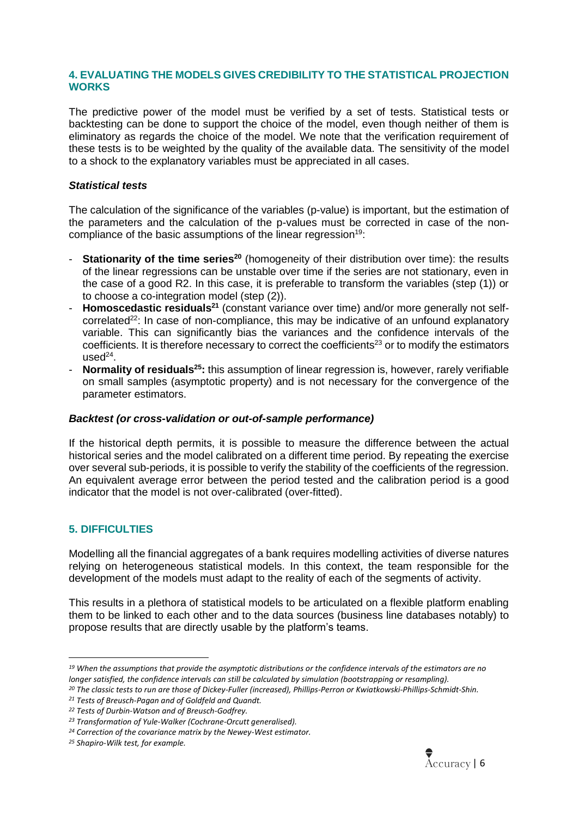## **4. EVALUATING THE MODELS GIVES CREDIBILITY TO THE STATISTICAL PROJECTION WORKS**

The predictive power of the model must be verified by a set of tests. Statistical tests or backtesting can be done to support the choice of the model, even though neither of them is eliminatory as regards the choice of the model. We note that the verification requirement of these tests is to be weighted by the quality of the available data. The sensitivity of the model to a shock to the explanatory variables must be appreciated in all cases.

## *Statistical tests*

The calculation of the significance of the variables (p-value) is important, but the estimation of the parameters and the calculation of the p-values must be corrected in case of the noncompliance of the basic assumptions of the linear regression<sup>19:</sup>

- **Stationarity of the time series<sup>20</sup>** (homogeneity of their distribution over time): the results of the linear regressions can be unstable over time if the series are not stationary, even in the case of a good R2. In this case, it is preferable to transform the variables (step (1)) or to choose a co-integration model (step (2)).
- **Homoscedastic residuals<sup>21</sup>** (constant variance over time) and/or more generally not selfcorrelated<sup>22</sup>: In case of non-compliance, this may be indicative of an unfound explanatory variable. This can significantly bias the variances and the confidence intervals of the coefficients. It is therefore necessary to correct the coefficients<sup>23</sup> or to modify the estimators  $used<sup>24</sup>$ .
- **Normality of residuals<sup>25</sup>:** this assumption of linear regression is, however, rarely verifiable on small samples (asymptotic property) and is not necessary for the convergence of the parameter estimators.

#### *Backtest (or cross-validation or out-of-sample performance)*

If the historical depth permits, it is possible to measure the difference between the actual historical series and the model calibrated on a different time period. By repeating the exercise over several sub-periods, it is possible to verify the stability of the coefficients of the regression. An equivalent average error between the period tested and the calibration period is a good indicator that the model is not over-calibrated (over-fitted).

# **5. DIFFICULTIES**

Modelling all the financial aggregates of a bank requires modelling activities of diverse natures relying on heterogeneous statistical models. In this context, the team responsible for the development of the models must adapt to the reality of each of the segments of activity.

This results in a plethora of statistical models to be articulated on a flexible platform enabling them to be linked to each other and to the data sources (business line databases notably) to propose results that are directly usable by the platform's teams.



*<sup>19</sup> When the assumptions that provide the asymptotic distributions or the confidence intervals of the estimators are no longer satisfied, the confidence intervals can still be calculated by simulation (bootstrapping or resampling).*

*<sup>20</sup> The classic tests to run are those of Dickey-Fuller (increased), Phillips-Perron or Kwiatkowski-Phillips-Schmidt-Shin.*

*<sup>21</sup> Tests of Breusch-Pagan and of Goldfeld and Quandt.*

*<sup>22</sup> Tests of Durbin-Watson and of Breusch-Godfrey.*

*<sup>23</sup> Transformation of Yule-Walker (Cochrane-Orcutt generalised).*

*<sup>24</sup> Correction of the covariance matrix by the Newey-West estimator.*

*<sup>25</sup> Shapiro-Wilk test, for example.*